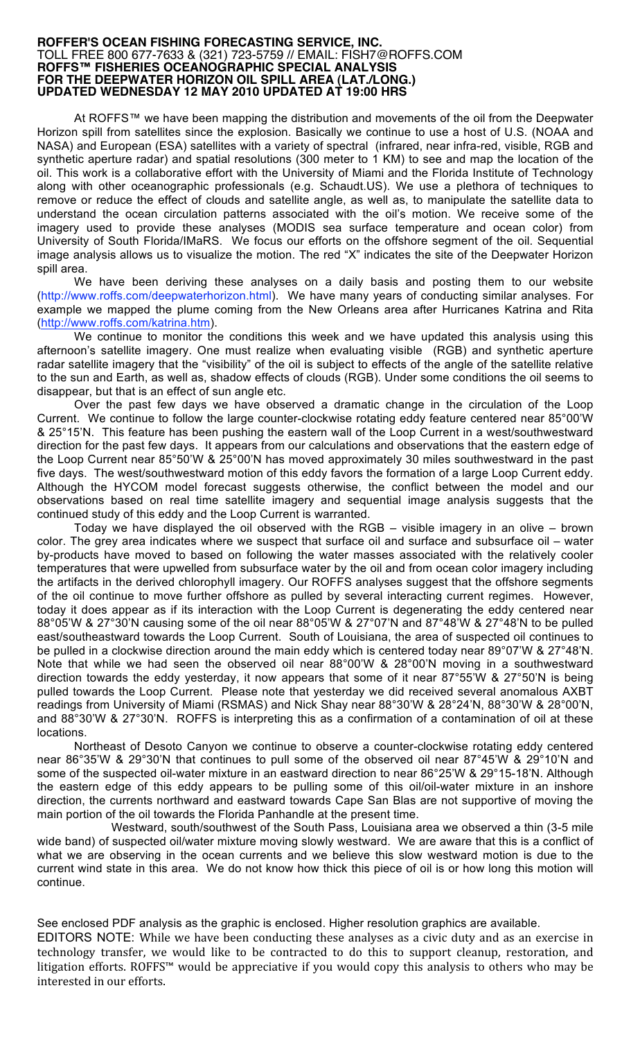## **ROFFER'S OCEAN FISHING FORECASTING SERVICE, INC.** TOLL FREE 800 677-7633 & (321) 723-5759 // EMAIL: FISH7@ROFFS.COM **ROFFS™ FISHERIES OCEANOGRAPHIC SPECIAL ANALYSIS FOR THE DEEPWATER HORIZON OIL SPILL AREA (LAT./LONG.) UPDATED WEDNESDAY 12 MAY 2010 UPDATED AT 19:00 HRS**

At ROFFS™ we have been mapping the distribution and movements of the oil from the Deepwater Horizon spill from satellites since the explosion. Basically we continue to use a host of U.S. (NOAA and NASA) and European (ESA) satellites with a variety of spectral (infrared, near infra-red, visible, RGB and synthetic aperture radar) and spatial resolutions (300 meter to 1 KM) to see and map the location of the oil. This work is a collaborative effort with the University of Miami and the Florida Institute of Technology along with other oceanographic professionals (e.g. Schaudt.US). We use a plethora of techniques to remove or reduce the effect of clouds and satellite angle, as well as, to manipulate the satellite data to understand the ocean circulation patterns associated with the oil's motion. We receive some of the imagery used to provide these analyses (MODIS sea surface temperature and ocean color) from University of South Florida/IMaRS. We focus our efforts on the offshore segment of the oil. Sequential image analysis allows us to visualize the motion. The red "X" indicates the site of the Deepwater Horizon spill area.

We have been deriving these analyses on a daily basis and posting them to our website (http://www.roffs.com/deepwaterhorizon.html). We have many years of conducting similar analyses. For example we mapped the plume coming from the New Orleans area after Hurricanes Katrina and Rita (http://www.roffs.com/katrina.htm).

We continue to monitor the conditions this week and we have updated this analysis using this afternoon's satellite imagery. One must realize when evaluating visible (RGB) and synthetic aperture radar satellite imagery that the "visibility" of the oil is subject to effects of the angle of the satellite relative to the sun and Earth, as well as, shadow effects of clouds (RGB). Under some conditions the oil seems to disappear, but that is an effect of sun angle etc.

Over the past few days we have observed a dramatic change in the circulation of the Loop Current. We continue to follow the large counter-clockwise rotating eddy feature centered near 85°00'W & 25°15'N. This feature has been pushing the eastern wall of the Loop Current in a west/southwestward direction for the past few days. It appears from our calculations and observations that the eastern edge of the Loop Current near 85°50'W & 25°00'N has moved approximately 30 miles southwestward in the past five days. The west/southwestward motion of this eddy favors the formation of a large Loop Current eddy. Although the HYCOM model forecast suggests otherwise, the conflict between the model and our observations based on real time satellite imagery and sequential image analysis suggests that the continued study of this eddy and the Loop Current is warranted.

Today we have displayed the oil observed with the RGB – visible imagery in an olive – brown color. The grey area indicates where we suspect that surface oil and surface and subsurface oil – water by-products have moved to based on following the water masses associated with the relatively cooler temperatures that were upwelled from subsurface water by the oil and from ocean color imagery including the artifacts in the derived chlorophyll imagery. Our ROFFS analyses suggest that the offshore segments of the oil continue to move further offshore as pulled by several interacting current regimes. However, today it does appear as if its interaction with the Loop Current is degenerating the eddy centered near 88°05'W & 27°30'N causing some of the oil near 88°05'W & 27°07'N and 87°48'W & 27°48'N to be pulled east/southeastward towards the Loop Current. South of Louisiana, the area of suspected oil continues to be pulled in a clockwise direction around the main eddy which is centered today near 89°07'W & 27°48'N. Note that while we had seen the observed oil near 88°00'W & 28°00'N moving in a southwestward direction towards the eddy yesterday, it now appears that some of it near 87°55'W & 27°50'N is being pulled towards the Loop Current. Please note that yesterday we did received several anomalous AXBT readings from University of Miami (RSMAS) and Nick Shay near 88°30'W & 28°24'N, 88°30'W & 28°00'N, and 88°30'W & 27°30'N. ROFFS is interpreting this as a confirmation of a contamination of oil at these locations.

Northeast of Desoto Canyon we continue to observe a counter-clockwise rotating eddy centered near 86°35'W & 29°30'N that continues to pull some of the observed oil near 87°45'W & 29°10'N and some of the suspected oil-water mixture in an eastward direction to near 86°25'W & 29°15-18'N. Although the eastern edge of this eddy appears to be pulling some of this oil/oil-water mixture in an inshore direction, the currents northward and eastward towards Cape San Blas are not supportive of moving the main portion of the oil towards the Florida Panhandle at the present time.

Westward, south/southwest of the South Pass, Louisiana area we observed a thin (3-5 mile wide band) of suspected oil/water mixture moving slowly westward. We are aware that this is a conflict of what we are observing in the ocean currents and we believe this slow westward motion is due to the current wind state in this area. We do not know how thick this piece of oil is or how long this motion will continue.

See enclosed PDF analysis as the graphic is enclosed. Higher resolution graphics are available. EDITORS NOTE: While
we
have
been
conducting
 these
analyses
as
a
civic
duty
and
as
an
exercise
in technology transfer, we would like to be contracted to do this to support cleanup, restoration, and litigation efforts. ROFFS™ would be appreciative if you would copy this analysis to others who may be interested
in
our
efforts.